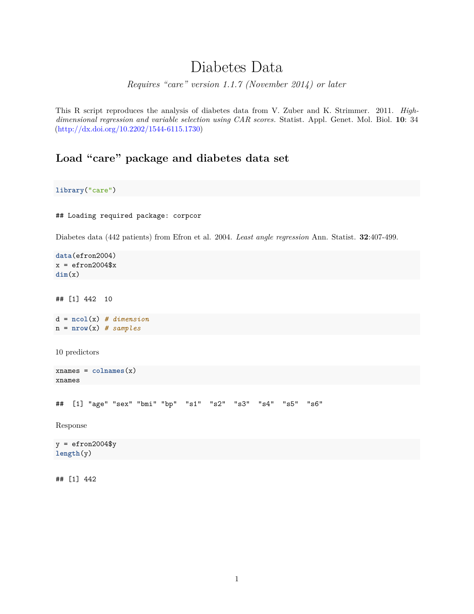# Diabetes Data

*Requires "care" version 1.1.7 (November 2014) or later*

This R script reproduces the analysis of diabetes data from V. Zuber and K. Strimmer. 2011. *Highdimensional regression and variable selection using CAR scores.* Statist. Appl. Genet. Mol. Biol. **10**: 34 [\(http://dx.doi.org/10.2202/1544-6115.1730\)](http://dx.doi.org/10.2202/1544-6115.1730)

### **Load "care" package and diabetes data set**

**library**("care")

## Loading required package: corpcor

Diabetes data (442 patients) from Efron et al. 2004. *Least angle regression* Ann. Statist. **32**:407-499.

```
data(efron2004)
x = efron2004$x
dim(x)
```
## [1] 442 10

d = **ncol**(x) *# dimension* n = **nrow**(x) *# samples*

10 predictors

```
xnames = colnames(x)xnames
```
## [1] "age" "sex" "bmi" "bp" "s1" "s2" "s3" "s4" "s5" "s6"

Response

 $y = efron2004$ \$y **length**(y)

## [1] 442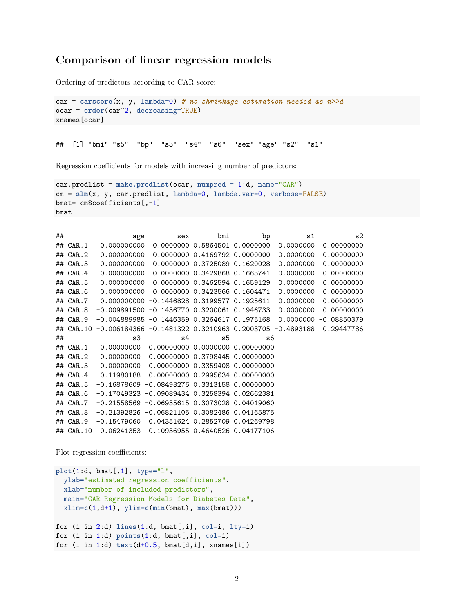#### **Comparison of linear regression models**

Ordering of predictors according to CAR score:

```
car = carscore(x, y, lambda=0) # no shrinkage estimation needed as n>>d
ocar = order(car^2, decreasing=TRUE)
xnames[ocar]
```
## [1] "bmi" "s5" "bp" "s3" "s4" "s6" "sex" "age" "s2" "s1"

Regression coefficients for models with increasing number of predictors:

```
car.predlist = make.predlist(ocar, numpred = 1:d, name="CAR")
cm = slm(x, y, car.predlist, lambda=0, lambda.var=0, verbose=FALSE)
bmat= cm$coefficients[,-1]
bmat
```

| ## |              | age           | sex                                                      | bmi                           | bp | s1        | s2            |
|----|--------------|---------------|----------------------------------------------------------|-------------------------------|----|-----------|---------------|
|    | $##$ CAR. 1  | 0.000000000   |                                                          | 0.0000000 0.5864501 0.0000000 |    | 0.0000000 | 0.00000000    |
|    | $##$ CAR. 2  | 0.000000000   |                                                          | 0.0000000 0.4169792 0.0000000 |    | 0.0000000 | 0.00000000    |
|    | $##$ CAR.3   | 0.000000000   |                                                          | 0.0000000 0.3725089 0.1620028 |    | 0.0000000 | 0.00000000    |
|    | $##$ CAR. 4  | 0.000000000   |                                                          | 0.0000000 0.3429868 0.1665741 |    | 0.0000000 | 0.00000000    |
|    | $##$ CAR. 5  | 0.000000000   |                                                          | 0.0000000 0.3462594 0.1659129 |    | 0.0000000 | 0.00000000    |
| ## | CAR.6        | 0.000000000   |                                                          | 0.0000000 0.3423566 0.1604471 |    | 0.0000000 | 0.00000000    |
|    | $##$ CAR. 7  |               | 0.000000000 -0.1446828 0.3199577 0.1925611               |                               |    | 0.0000000 | 0.00000000    |
|    | $##$ CAR. 8  |               | $-0.009891500 - 0.1436770 0.3200061 0.1946733$           |                               |    | 0.0000000 | 0.00000000    |
|    | $##$ CAR. 9  |               | $-0.004889985 - 0.1446359 0.3264617 0.1975168$           |                               |    | 0.0000000 | $-0.08850379$ |
| ## | CAR.10       |               | $-0.006184366 -0.1481322 0.3210963 0.2003705 -0.4893188$ |                               |    |           | 0.29447786    |
|    |              |               |                                                          |                               |    |           |               |
| ## |              | s3            | s4                                                       | s5                            | s6 |           |               |
|    | $##$ CAR. 1  | 0.00000000    | 0.00000000 0.0000000 0.00000000                          |                               |    |           |               |
| ## | CAR.2        | 0.00000000    | 0.00000000 0.3798445 0.00000000                          |                               |    |           |               |
|    | $\#$ # CAR.3 | 0.00000000    | 0.00000000 0.3359408 0.00000000                          |                               |    |           |               |
|    | $##$ CAR. 4  | $-0.11980188$ | 0.00000000 0.2995634 0.00000000                          |                               |    |           |               |
| ## | CAR.5        | $-0.16878609$ | $-0.084932760.33131580.00000000$                         |                               |    |           |               |
| ## | CAR.6        |               | $-0.17049323 - 0.09089434 0.3258394 0.02662381$          |                               |    |           |               |
| ## | CAR.7        |               | $-0.21558569 -0.06935615 0.3073028 0.04019060$           |                               |    |           |               |
|    | $\#$ # CAR.8 |               | $-0.21392826$ $-0.06821105$ 0.3082486 0.04165875         |                               |    |           |               |
| ## | CAR.9        | $-0.15479060$ | 0.04351624 0.2852709 0.04269798                          |                               |    |           |               |

Plot regression coefficients:

```
plot(1:d, bmat[,1], type="l",
 ylab="estimated regression coefficients",
 xlab="number of included predictors",
  main="CAR Regression Models for Diabetes Data",
 xlim=c(1,d+1), ylim=c(min(bmat), max(bmat)))
for (i in 2:d) lines(1:d, bmat[,i], col=i, lty=i)
for (i in 1:d) points(1:d, bmat[,i], col=i)
for (i in 1:d) text(d+0.5, bmat[d,i], xnames[i])
```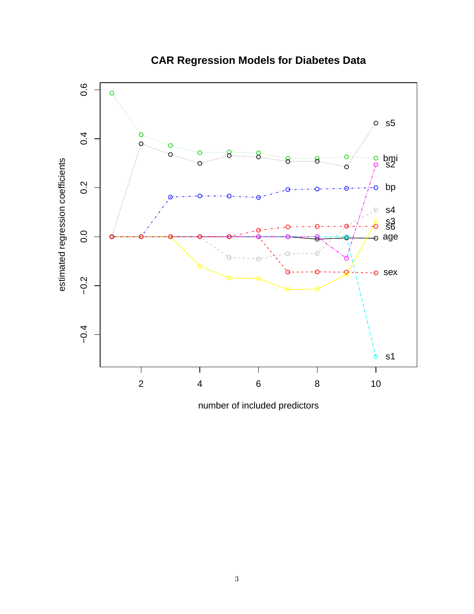

## **CAR Regression Models for Diabetes Data**

number of included predictors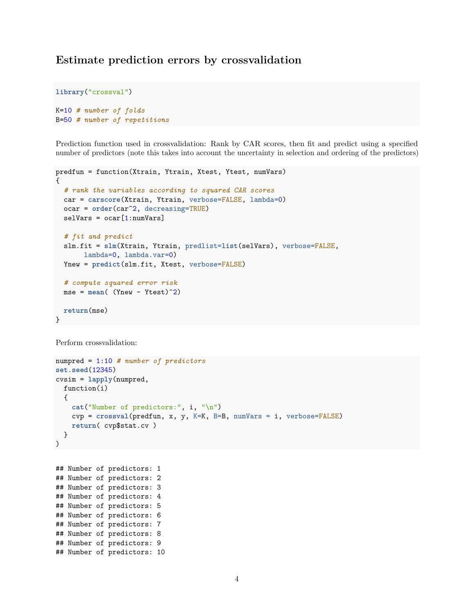#### **Estimate prediction errors by crossvalidation**

```
library("crossval")
```

```
K=10 # number of folds
B=50 # number of repetitions
```
Prediction function used in crossvalidation: Rank by CAR scores, then fit and predict using a specified number of predictors (note this takes into account the uncertainty in selection and ordering of the predictors)

```
predfun = function(Xtrain, Ytrain, Xtest, Ytest, numVars)
{
  # rank the variables according to squared CAR scores
  car = carscore(Xtrain, Ytrain, verbose=FALSE, lambda=0)
  ocar = order(car^2, decreasing=TRUE)
  selVars = ocar[1:numVars]# fit and predict
  slm.fit = slm(Xtrain, Ytrain, predlist=list(selVars), verbose=FALSE,
       lambda=0, lambda.var=0)
 Ynew = predict(slm.fit, Xtest, verbose=FALSE)
  # compute squared error risk
 mse = mean( (Ynew - Ytest)^2)
  return(mse)
}
```

```
Perform crossvalidation:
```

```
numpred = 1:10 # number of predictors
set.seed(12345)
cvsim = lapply(numpred,
  function(i)
  {
   cat("Number of predictors:", i, "\n")
   cvp = crossval(predfun, x, y, K=K, B=B, numVars = i, verbose=FALSE)
   return( cvp$stat.cv )
  }
)
```
## Number of predictors: 1 ## Number of predictors: 2 ## Number of predictors: 3 ## Number of predictors: 4 ## Number of predictors: 5 ## Number of predictors: 6 ## Number of predictors: 7 ## Number of predictors: 8 ## Number of predictors: 9 ## Number of predictors: 10